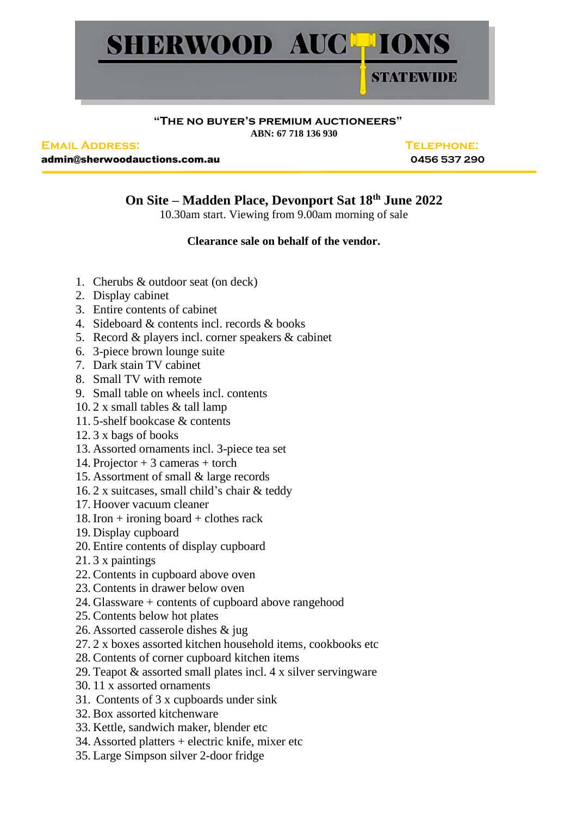

## **"The no buyer's premium auctioneers" ABN: 67 718 136 930**

**Email Address: Telephone:**

admin@sherwoodauctions.com.au **0456 537 290**

## **On Site – Madden Place, Devonport Sat 18th June 2022**

10.30am start. Viewing from 9.00am morning of sale

## **Clearance sale on behalf of the vendor.**

- 1. Cherubs & outdoor seat (on deck)
- 2. Display cabinet
- 3. Entire contents of cabinet
- 4. Sideboard & contents incl. records & books
- 5. Record & players incl. corner speakers & cabinet
- 6. 3-piece brown lounge suite
- 7. Dark stain TV cabinet
- 8. Small TV with remote
- 9. Small table on wheels incl. contents
- 10. 2 x small tables & tall lamp
- 11. 5-shelf bookcase & contents
- 12. 3 x bags of books
- 13. Assorted ornaments incl. 3-piece tea set
- 14. Projector + 3 cameras + torch
- 15. Assortment of small & large records
- 16. 2 x suitcases, small child's chair & teddy
- 17. Hoover vacuum cleaner
- 18. Iron  $+$  ironing board  $+$  clothes rack
- 19. Display cupboard
- 20. Entire contents of display cupboard
- 21. 3 x paintings
- 22. Contents in cupboard above oven
- 23. Contents in drawer below oven
- 24. Glassware + contents of cupboard above rangehood
- 25. Contents below hot plates
- 26. Assorted casserole dishes & jug
- 27. 2 x boxes assorted kitchen household items, cookbooks etc
- 28. Contents of corner cupboard kitchen items
- 29. Teapot & assorted small plates incl. 4 x silver servingware
- 30. 11 x assorted ornaments
- 31. Contents of 3 x cupboards under sink
- 32. Box assorted kitchenware
- 33. Kettle, sandwich maker, blender etc
- 34. Assorted platters + electric knife, mixer etc
- 35. Large Simpson silver 2-door fridge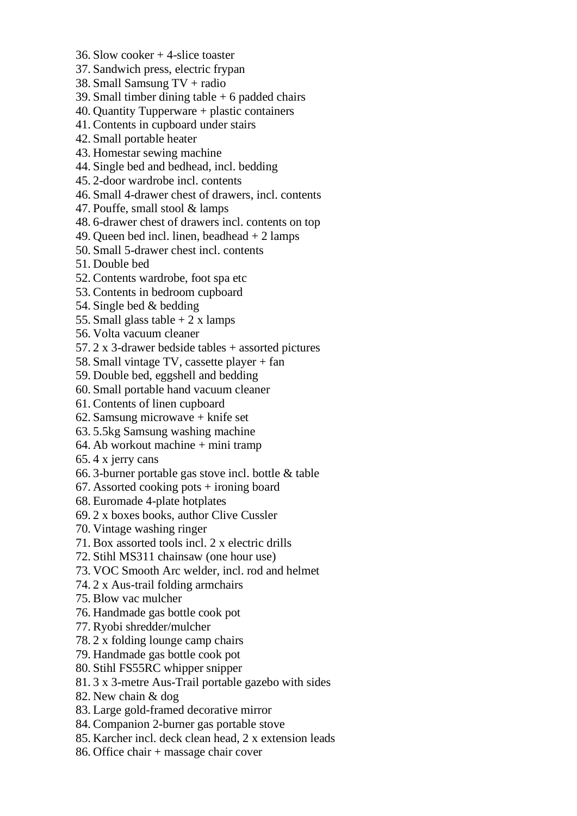- 36. Slow cooker + 4-slice toaster
- 37. Sandwich press, electric frypan
- 38. Small Samsung TV + radio
- 39. Small timber dining table  $+6$  padded chairs
- 40. Quantity Tupperware + plastic containers
- 41. Contents in cupboard under stairs
- 42. Small portable heater
- 43. Homestar sewing machine
- 44. Single bed and bedhead, incl. bedding
- 45. 2-door wardrobe incl. contents
- 46. Small 4-drawer chest of drawers, incl. contents
- 47. Pouffe, small stool & lamps
- 48. 6-drawer chest of drawers incl. contents on top
- 49. Queen bed incl. linen, beadhead + 2 lamps
- 50. Small 5-drawer chest incl. contents
- 51. Double bed
- 52. Contents wardrobe, foot spa etc
- 53. Contents in bedroom cupboard
- 54. Single bed & bedding
- 55. Small glass table  $+2x$  lamps
- 56. Volta vacuum cleaner
- 57. 2 x 3-drawer bedside tables + assorted pictures
- 58. Small vintage TV, cassette player + fan
- 59. Double bed, eggshell and bedding
- 60. Small portable hand vacuum cleaner
- 61. Contents of linen cupboard
- 62. Samsung microwave + knife set
- 63. 5.5kg Samsung washing machine
- 64. Ab workout machine + mini tramp
- 65. 4 x jerry cans
- 66. 3-burner portable gas stove incl. bottle & table
- 67. Assorted cooking pots  $+$  ironing board
- 68. Euromade 4-plate hotplates
- 69. 2 x boxes books, author Clive Cussler
- 70. Vintage washing ringer
- 71. Box assorted tools incl. 2 x electric drills
- 72. Stihl MS311 chainsaw (one hour use)
- 73. VOC Smooth Arc welder, incl. rod and helmet
- 74. 2 x Aus-trail folding armchairs
- 75. Blow vac mulcher
- 76. Handmade gas bottle cook pot
- 77. Ryobi shredder/mulcher
- 78. 2 x folding lounge camp chairs
- 79. Handmade gas bottle cook pot
- 80. Stihl FS55RC whipper snipper
- 81. 3 x 3-metre Aus-Trail portable gazebo with sides
- 82. New chain & dog
- 83. Large gold-framed decorative mirror
- 84. Companion 2-burner gas portable stove
- 85. Karcher incl. deck clean head, 2 x extension leads
- 86. Office chair + massage chair cover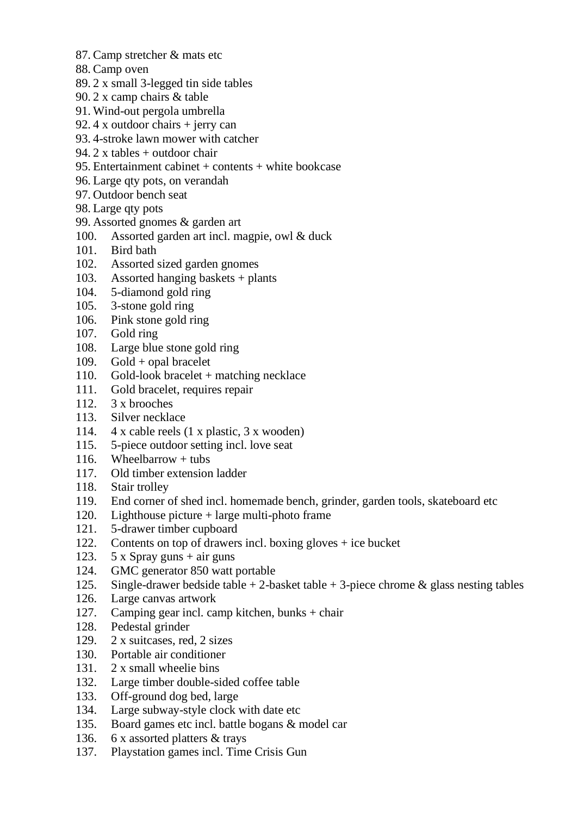- 87. Camp stretcher & mats etc
- 88. Camp oven
- 89. 2 x small 3-legged tin side tables
- 90. 2 x camp chairs & table
- 91. Wind-out pergola umbrella
- 92. 4 x outdoor chairs + jerry can
- 93. 4-stroke lawn mower with catcher
- 94. 2 x tables + outdoor chair
- 95. Entertainment cabinet + contents + white bookcase
- 96. Large qty pots, on verandah
- 97. Outdoor bench seat
- 98. Large qty pots
- 99. Assorted gnomes & garden art
- 100. Assorted garden art incl. magpie, owl & duck
- 101. Bird bath
- 102. Assorted sized garden gnomes
- 103. Assorted hanging baskets + plants
- 104. 5-diamond gold ring
- 105. 3-stone gold ring
- 106. Pink stone gold ring
- 107. Gold ring
- 108. Large blue stone gold ring
- 109. Gold + opal bracelet
- 110. Gold-look bracelet + matching necklace
- 111. Gold bracelet, requires repair
- 112. 3 x brooches
- 113. Silver necklace
- 114. 4 x cable reels (1 x plastic, 3 x wooden)
- 115. 5-piece outdoor setting incl. love seat
- 116. Wheelbarrow  $+$  tubs
- 117. Old timber extension ladder
- 118. Stair trolley
- 119. End corner of shed incl. homemade bench, grinder, garden tools, skateboard etc
- 120. Lighthouse picture + large multi-photo frame
- 121. 5-drawer timber cupboard
- 122. Contents on top of drawers incl. boxing gloves + ice bucket
- 123. 5 x Spray guns + air guns
- 124. GMC generator 850 watt portable
- 125. Single-drawer bedside table  $+ 2$ -basket table  $+ 3$ -piece chrome  $\&$  glass nesting tables
- 126. Large canvas artwork
- 127. Camping gear incl. camp kitchen, bunks + chair
- 128. Pedestal grinder
- 129. 2 x suitcases, red, 2 sizes
- 130. Portable air conditioner
- 131. 2 x small wheelie bins
- 132. Large timber double-sided coffee table
- 133. Off-ground dog bed, large
- 134. Large subway-style clock with date etc
- 135. Board games etc incl. battle bogans & model car
- 136. 6 x assorted platters & trays
- 137. Playstation games incl. Time Crisis Gun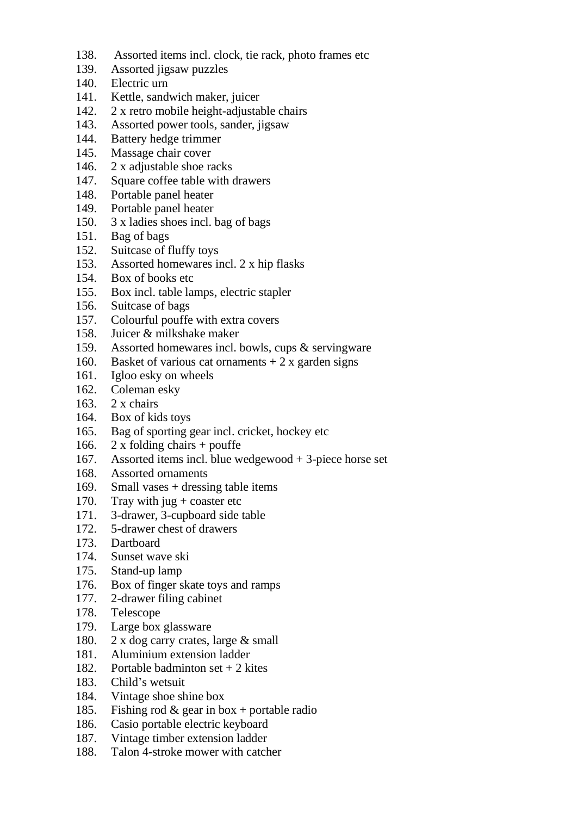- 138. Assorted items incl. clock, tie rack, photo frames etc
- 139. Assorted jigsaw puzzles
- 140. Electric urn
- 141. Kettle, sandwich maker, juicer
- 142. 2 x retro mobile height-adjustable chairs
- 143. Assorted power tools, sander, jigsaw
- 144. Battery hedge trimmer
- 145. Massage chair cover
- 146. 2 x adjustable shoe racks
- 147. Square coffee table with drawers
- 148. Portable panel heater
- 149. Portable panel heater
- 150. 3 x ladies shoes incl. bag of bags
- 151. Bag of bags
- 152. Suitcase of fluffy toys
- 153. Assorted homewares incl. 2 x hip flasks
- 154. Box of books etc
- 155. Box incl. table lamps, electric stapler
- 156. Suitcase of bags
- 157. Colourful pouffe with extra covers
- 158. Juicer & milkshake maker
- 159. Assorted homewares incl. bowls, cups & servingware
- 160. Basket of various cat ornaments  $+2x$  garden signs
- 161. Igloo esky on wheels
- 162. Coleman esky
- 163. 2 x chairs
- 164. Box of kids toys
- 165. Bag of sporting gear incl. cricket, hockey etc
- 166. 2 x folding chairs + pouffe
- 167. Assorted items incl. blue wedgewood + 3-piece horse set
- 168. Assorted ornaments
- 169. Small vases + dressing table items
- 170. Tray with jug + coaster etc
- 171. 3-drawer, 3-cupboard side table
- 172. 5-drawer chest of drawers
- 173. Dartboard
- 174. Sunset wave ski
- 175. Stand-up lamp
- 176. Box of finger skate toys and ramps
- 177. 2-drawer filing cabinet
- 178. Telescope
- 179. Large box glassware
- 180. 2 x dog carry crates, large & small
- 181. Aluminium extension ladder
- 182. Portable badminton set + 2 kites
- 183. Child's wetsuit
- 184. Vintage shoe shine box
- 185. Fishing rod & gear in box + portable radio
- 186. Casio portable electric keyboard
- 187. Vintage timber extension ladder
- 188. Talon 4-stroke mower with catcher